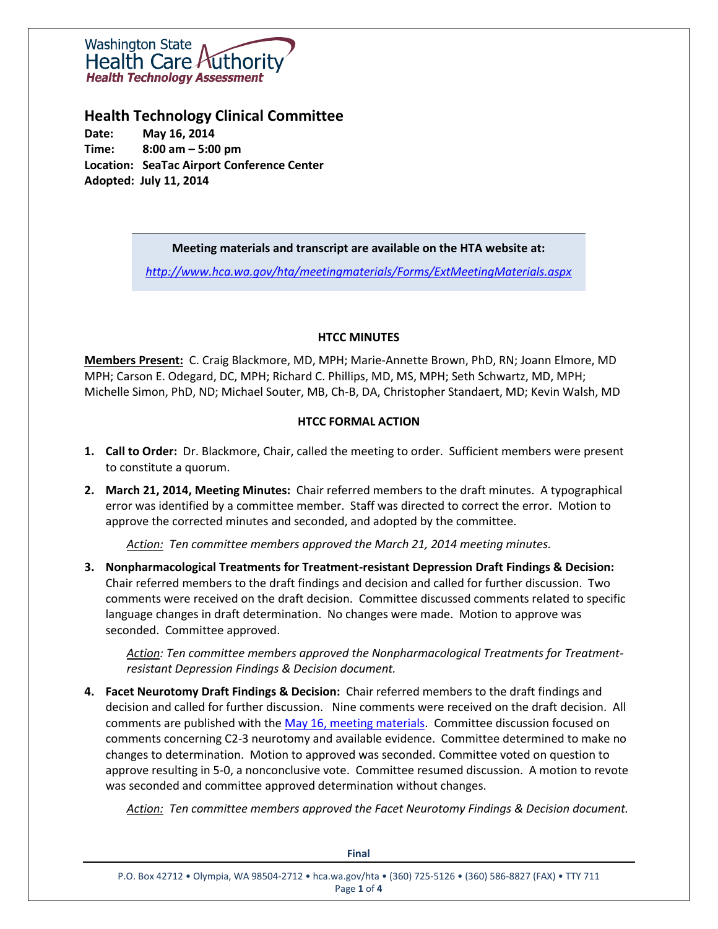# **Washington State** Health Care *H*uthorit **Health Technology Assessment**

**Health Technology Clinical Committee**

**Date: May 16, 2014 Time: 8:00 am – 5:00 pm Location: SeaTac Airport Conference Center Adopted: July 11, 2014**

# **Meeting materials and transcript are available on the HTA website at:**

*<http://www.hca.wa.gov/hta/meetingmaterials/Forms/ExtMeetingMaterials.aspx>*

# **HTCC MINUTES**

**Members Present:** C. Craig Blackmore, MD, MPH; Marie-Annette Brown, PhD, RN; Joann Elmore, MD MPH; Carson E. Odegard, DC, MPH; Richard C. Phillips, MD, MS, MPH; Seth Schwartz, MD, MPH; Michelle Simon, PhD, ND; Michael Souter, MB, Ch-B, DA, Christopher Standaert, MD; Kevin Walsh, MD

# **HTCC FORMAL ACTION**

- **1. Call to Order:** Dr. Blackmore, Chair, called the meeting to order. Sufficient members were present to constitute a quorum.
- **2. March 21, 2014, Meeting Minutes:** Chair referred members to the draft minutes. A typographical error was identified by a committee member. Staff was directed to correct the error. Motion to approve the corrected minutes and seconded, and adopted by the committee.

*Action: Ten committee members approved the March 21, 2014 meeting minutes.*

**3. Nonpharmacological Treatments for Treatment-resistant Depression Draft Findings & Decision:** Chair referred members to the draft findings and decision and called for further discussion. Two comments were received on the draft decision. Committee discussed comments related to specific language changes in draft determination. No changes were made. Motion to approve was seconded. Committee approved.

*Action: Ten committee members approved the Nonpharmacological Treatments for Treatmentresistant Depression Findings & Decision document.* 

**4. Facet Neurotomy Draft Findings & Decision:** Chair referred members to the draft findings and decision and called for further discussion. Nine comments were received on the draft decision. All comments are published with the [May 16, meeting materials.](http://www.hca.wa.gov/hta/meetingmaterials/Forms/ExtMeetingMaterials.aspx) Committee discussion focused on comments concerning C2-3 neurotomy and available evidence. Committee determined to make no changes to determination. Motion to approved was seconded. Committee voted on question to approve resulting in 5-0, a nonconclusive vote. Committee resumed discussion. A motion to revote was seconded and committee approved determination without changes.

*Action: Ten committee members approved the Facet Neurotomy Findings & Decision document.* 

| <b>Final</b>                                                                                                              |  |
|---------------------------------------------------------------------------------------------------------------------------|--|
| P.O. Box 42712 . Olympia, WA 98504-2712 . hca.wa.gov/hta . (360) 725-5126 . (360) 586-8827 (FAX) . TTY 711<br>Page 1 of 4 |  |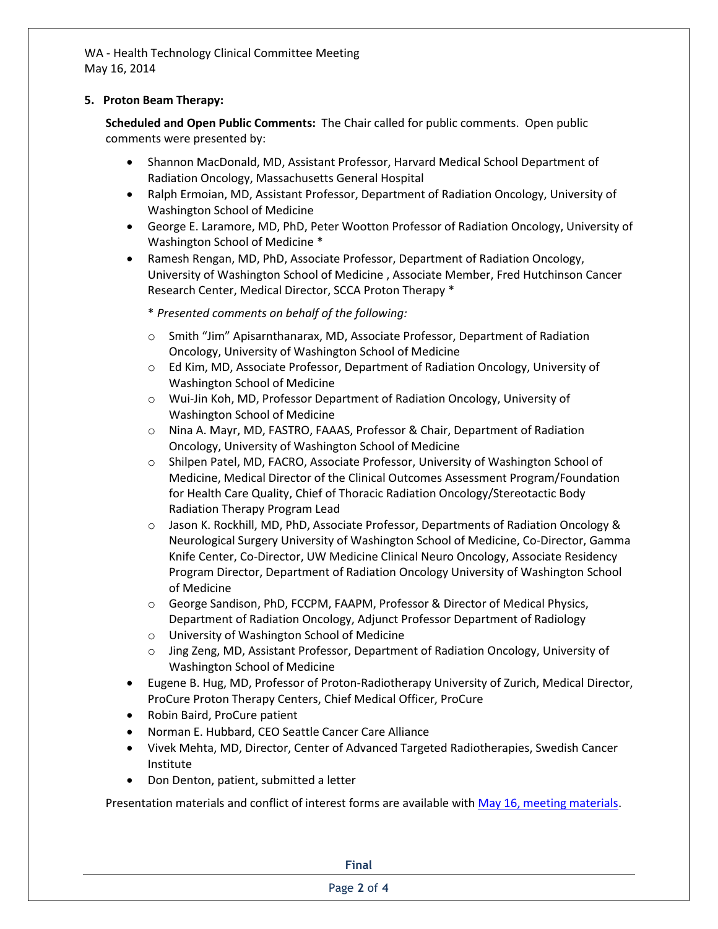WA - Health Technology Clinical Committee Meeting May 16, 2014

### **5. Proton Beam Therapy:**

**Scheduled and Open Public Comments:** The Chair called for public comments. Open public comments were presented by:

- Shannon MacDonald, MD, Assistant Professor, Harvard Medical School Department of Radiation Oncology, Massachusetts General Hospital
- Ralph Ermoian, MD, Assistant Professor, Department of Radiation Oncology, University of Washington School of Medicine
- George E. Laramore, MD, PhD, Peter Wootton Professor of Radiation Oncology, University of Washington School of Medicine \*
- Ramesh Rengan, MD, PhD, Associate Professor, Department of Radiation Oncology, University of Washington School of Medicine , Associate Member, Fred Hutchinson Cancer Research Center, Medical Director, SCCA Proton Therapy \*

\* *Presented comments on behalf of the following:*

- o Smith "Jim" Apisarnthanarax, MD, Associate Professor, Department of Radiation Oncology, University of Washington School of Medicine
- o Ed Kim, MD, Associate Professor, Department of Radiation Oncology, University of Washington School of Medicine
- o Wui-Jin Koh, MD, Professor Department of Radiation Oncology, University of Washington School of Medicine
- o Nina A. Mayr, MD, FASTRO, FAAAS, Professor & Chair, Department of Radiation Oncology, University of Washington School of Medicine
- o Shilpen Patel, MD, FACRO, Associate Professor, University of Washington School of Medicine, Medical Director of the Clinical Outcomes Assessment Program/Foundation for Health Care Quality, Chief of Thoracic Radiation Oncology/Stereotactic Body Radiation Therapy Program Lead
- o Jason K. Rockhill, MD, PhD, Associate Professor, Departments of Radiation Oncology & Neurological Surgery University of Washington School of Medicine, Co-Director, Gamma Knife Center, Co-Director, UW Medicine Clinical Neuro Oncology, Associate Residency Program Director, Department of Radiation Oncology University of Washington School of Medicine
- o George Sandison, PhD, FCCPM, FAAPM, Professor & Director of Medical Physics, Department of Radiation Oncology, Adjunct Professor Department of Radiology
- o University of Washington School of Medicine
- o Jing Zeng, MD, Assistant Professor, Department of Radiation Oncology, University of Washington School of Medicine
- Eugene B. Hug, MD, Professor of Proton-Radiotherapy University of Zurich, Medical Director, ProCure Proton Therapy Centers, Chief Medical Officer, ProCure
- Robin Baird, ProCure patient
- Norman E. Hubbard, CEO Seattle Cancer Care Alliance
- Vivek Mehta, MD, Director, Center of Advanced Targeted Radiotherapies, Swedish Cancer Institute
- Don Denton, patient, submitted a letter

Presentation materials and conflict of interest forms are available wit[h May 16, meeting materials.](http://www.hca.wa.gov/hta/meetingmaterials/Forms/ExtMeetingMaterials.aspx)

**Final**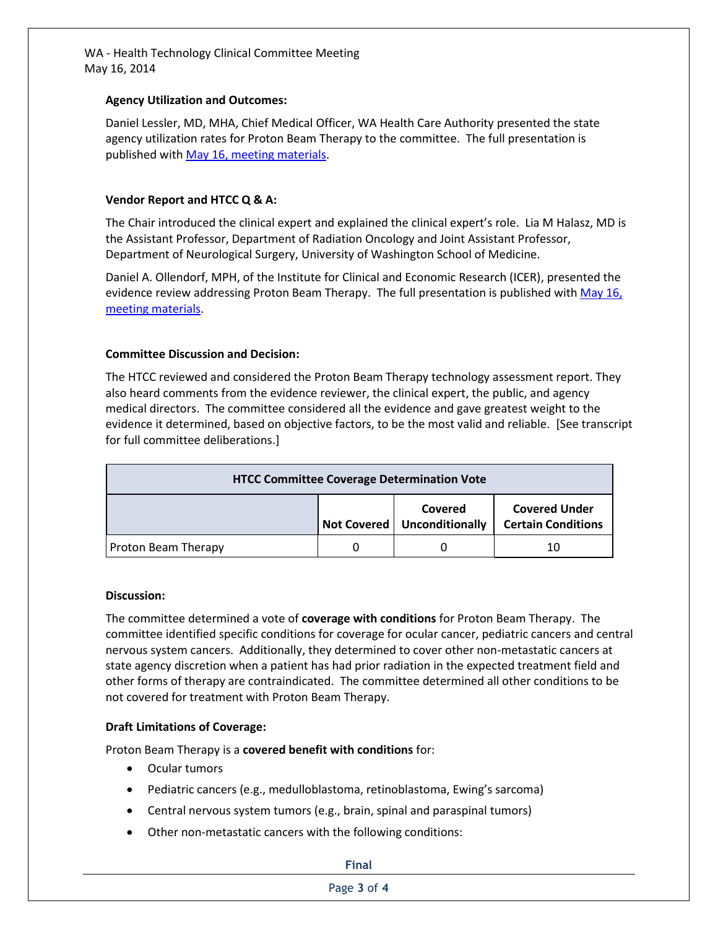WA - Health Technology Clinical Committee Meeting May 16, 2014

### **Agency Utilization and Outcomes:**

Daniel Lessler, MD, MHA, Chief Medical Officer, WA Health Care Authority presented the state agency utilization rates for Proton Beam Therapy to the committee. The full presentation is published wit[h May 16, meeting materials.](http://www.hca.wa.gov/hta/meetingmaterials/Forms/ExtMeetingMaterials.aspx)

## **Vendor Report and HTCC Q & A:**

The Chair introduced the clinical expert and explained the clinical expert's role. Lia M Halasz, MD is the Assistant Professor, Department of Radiation Oncology and Joint Assistant Professor, Department of Neurological Surgery, University of Washington School of Medicine.

Daniel A. Ollendorf, MPH, of the Institute for Clinical and Economic Research (ICER), presented the evidence review addressing Proton Beam Therapy. The full presentation is published with May 16, [meeting materials.](http://www.hca.wa.gov/hta/meetingmaterials/Forms/ExtMeetingMaterials.aspx)

### **Committee Discussion and Decision:**

The HTCC reviewed and considered the Proton Beam Therapy technology assessment report. They also heard comments from the evidence reviewer, the clinical expert, the public, and agency medical directors. The committee considered all the evidence and gave greatest weight to the evidence it determined, based on objective factors, to be the most valid and reliable. [See transcript for full committee deliberations.]

| <b>HTCC Committee Coverage Determination Vote</b> |  |                                          |                                                   |
|---------------------------------------------------|--|------------------------------------------|---------------------------------------------------|
|                                                   |  | Covered<br>Not Covered   Unconditionally | <b>Covered Under</b><br><b>Certain Conditions</b> |
| <b>Proton Beam Therapy</b>                        |  |                                          | 10                                                |

### **Discussion:**

The committee determined a vote of **coverage with conditions** for Proton Beam Therapy. The committee identified specific conditions for coverage for ocular cancer, pediatric cancers and central nervous system cancers. Additionally, they determined to cover other non-metastatic cancers at state agency discretion when a patient has had prior radiation in the expected treatment field and other forms of therapy are contraindicated. The committee determined all other conditions to be not covered for treatment with Proton Beam Therapy.

### **Draft Limitations of Coverage:**

Proton Beam Therapy is a **covered benefit with conditions** for:

- Ocular tumors
- Pediatric cancers (e.g., medulloblastoma, retinoblastoma, Ewing's sarcoma)
- Central nervous system tumors (e.g., brain, spinal and paraspinal tumors)
- Other non-metastatic cancers with the following conditions:

#### **Final**

#### Page **3** of **4**